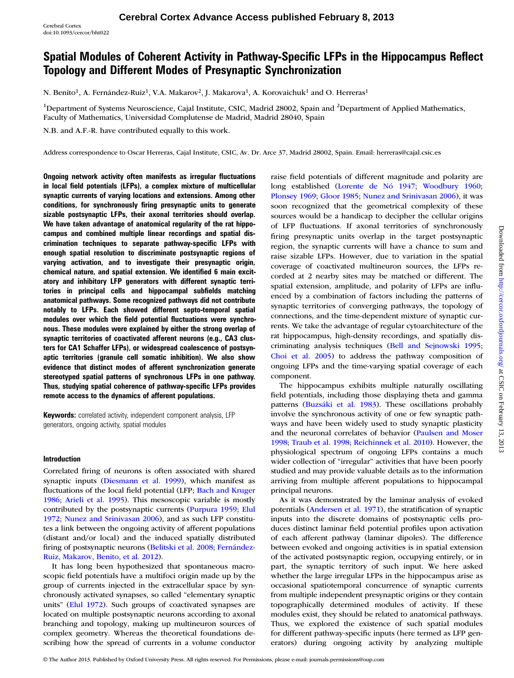Cerebral Cortex doi:10.1093/cercor/bht022

# Spatial Modules of Coherent Activity in Pathway-Specific LFPs in the Hippocampus Reflect Topology and Different Modes of Presynaptic Synchronization

N. Benito<sup>1</sup>, A. Fernández-Ruiz<sup>1</sup>, V.A. Makarov<sup>2</sup>, J. Makarova<sup>1</sup>, A. Korovaichuk<sup>1</sup> and O. Herreras<sup>1</sup>

<sup>1</sup>Department of Systems Neuroscience, Cajal Institute, CSIC, Madrid 28002, Spain and <sup>2</sup>Department of Applied Mathematics, Faculty of Mathematics, Universidad Complutense de Madrid, Madrid 28040, Spain

N.B. and A.F.-R. have contributed equally to this work.

Address correspondence to Oscar Herreras, Cajal Institute, CSIC, Av. Dr. Arce 37, Madrid 28002, Spain. Email: herreras@cajal.csic.es

Ongoing network activity often manifests as irregular fluctuations in local field potentials (LFPs), a complex mixture of multicellular synaptic currents of varying locations and extensions. Among other conditions, for synchronously firing presynaptic units to generate sizable postsynaptic LFPs, their axonal territories should overlap. We have taken advantage of anatomical regularity of the rat hippocampus and combined multiple linear recordings and spatial discrimination techniques to separate pathway-specific LFPs with enough spatial resolution to discriminate postsynaptic regions of varying activation, and to investigate their presynaptic origin, chemical nature, and spatial extension. We identified 6 main excitatory and inhibitory LFP generators with different synaptic territories in principal cells and hippocampal subfields matching anatomical pathways. Some recognized pathways did not contribute notably to LFPs. Each showed different septo-temporal spatial modules over which the field potential fluctuations were synchronous. These modules were explained by either the strong overlap of synaptic territories of coactivated afferent neurons (e.g., CA3 clusters for CA1 Schaffer LFPs), or widespread coalescence of postsynaptic territories (granule cell somatic inhibition). We also show evidence that distinct modes of afferent synchronization generate stereotyped spatial patterns of synchronous LFPs in one pathway. Thus, studying spatial coherence of pathway-specific LFPs provides remote access to the dynamics of afferent populations.

**Keywords:** correlated activity, independent component analysis, LFP generators, ongoing activity, spatial modules

# Introduction

Correlated firing of neurons is often associated with shared synaptic inputs ([Diesmann et al. 1999](#page-13-0)), which manifest as fluctuations of the local field potential (LFP; [Bach and Kruger](#page-13-0) [1986](#page-13-0); [Arieli et al. 1995\)](#page-13-0). This mesoscopic variable is mostly contributed by the postsynaptic currents [\(Purpura 1959;](#page-13-0) [Elul](#page-13-0) [1972](#page-13-0); [Nunez and Srinivasan 2006\)](#page-13-0), and as such LFP constitutes a link between the ongoing activity of afferent populations (distant and/or local) and the induced spatially distributed firing of postsynaptic neurons ([Belitski et al. 2008](#page-13-0); [Fernández-](#page-13-0)[Ruiz, Makarov, Benito, et al. 2012\)](#page-13-0).

It has long been hypothesized that spontaneous macroscopic field potentials have a multifoci origin made up by the group of currents injected in the extracellular space by synchronously activated synapses, so called "elementary synaptic units" [\(Elul 1972\)](#page-13-0). Such groups of coactivated synapses are located on multiple postsynaptic neurons according to axonal branching and topology, making up multineuron sources of complex geometry. Whereas the theoretical foundations describing how the spread of currents in a volume conductor raise field potentials of different magnitude and polarity are long established ([Lorente de Nó 1947;](#page-13-0) [Woodbury 1960;](#page-14-0) [Plonsey 1969](#page-13-0); [Gloor 1985](#page-13-0); [Nunez and Srinivasan 2006\)](#page-13-0), it was soon recognized that the geometrical complexity of these sources would be a handicap to decipher the cellular origins of LFP fluctuations. If axonal territories of synchronously firing presynaptic units overlap in the target postsynaptic region, the synaptic currents will have a chance to sum and raise sizable LFPs. However, due to variation in the spatial coverage of coactivated multineuron sources, the LFPs recorded at 2 nearby sites may be matched or different. The spatial extension, amplitude, and polarity of LFPs are influenced by a combination of factors including the patterns of synaptic territories of converging pathways, the topology of connections, and the time-dependent mixture of synaptic currents. We take the advantage of regular cytoarchitecture of the rat hippocampus, high-density recordings, and spatially discriminating analysis techniques ([Bell and Sejnowski 1995;](#page-13-0) [Choi et al. 2005\)](#page-13-0) to address the pathway composition of ongoing LFPs and the time-varying spatial coverage of each component.

The hippocampus exhibits multiple naturally oscillating field potentials, including those displaying theta and gamma patterns [\(Buzsáki et al. 1983\)](#page-13-0). These oscillations probably involve the synchronous activity of one or few synaptic pathways and have been widely used to study synaptic plasticity and the neuronal correlates of behavior [\(Paulsen and Moser](#page-13-0) [1998](#page-13-0); [Traub et al. 1998;](#page-14-0) [Reichinnek et al. 2010\)](#page-14-0). However, the physiological spectrum of ongoing LFPs contains a much wider collection of "irregular" activities that have been poorly studied and may provide valuable details as to the information arriving from multiple afferent populations to hippocampal principal neurons.

As it was demonstrated by the laminar analysis of evoked potentials ([Andersen et al. 1971\)](#page-13-0), the stratification of synaptic inputs into the discrete domains of postsynaptic cells produces distinct laminar field potential profiles upon activation of each afferent pathway (laminar dipoles). The difference between evoked and ongoing activities is in spatial extension of the activated postsynaptic region, occupying entirely, or in part, the synaptic territory of such input. We here asked whether the large irregular LFPs in the hippocampus arise as occasional spatiotemporal concurrence of synaptic currents from multiple independent presynaptic origins or they contain topographically determined modules of activity. If these modules exist, they should be related to anatomical pathways. Thus, we explored the existence of such spatial modules for different pathway-specific inputs (here termed as LFP generators) during ongoing activity by analyzing multiple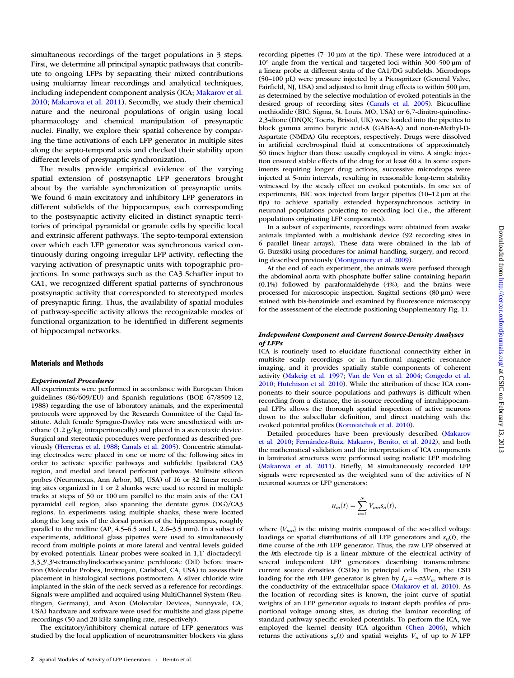simultaneous recordings of the target populations in 3 steps. First, we determine all principal synaptic pathways that contribute to ongoing LFPs by separating their mixed contributions using multiarray linear recordings and analytical techniques, including independent component analysis (ICA; [Makarov et al.](#page-13-0) [2010;](#page-13-0) [Makarova et al. 2011](#page-13-0)). Secondly, we study their chemical nature and the neuronal populations of origin using local pharmacology and chemical manipulation of presynaptic nuclei. Finally, we explore their spatial coherence by comparing the time activations of each LFP generator in multiple sites along the septo-temporal axis and checked their stability upon different levels of presynaptic synchronization.

The results provide empirical evidence of the varying spatial extension of postsynaptic LFP generators brought about by the variable synchronization of presynaptic units. We found 6 main excitatory and inhibitory LFP generators in different subfields of the hippocampus, each corresponding to the postsynaptic activity elicited in distinct synaptic territories of principal pyramidal or granule cells by specific local and extrinsic afferent pathways. The septo-temporal extension over which each LFP generator was synchronous varied continuously during ongoing irregular LFP activity, reflecting the varying activation of presynaptic units with topographic projections. In some pathways such as the CA3 Schaffer input to CA1, we recognized different spatial patterns of synchronous postsynaptic activity that corresponded to stereotyped modes of presynaptic firing. Thus, the availability of spatial modules of pathway-specific activity allows the recognizable modes of functional organization to be identified in different segments of hippocampal networks.

#### Materials and Methods

#### Experimental Procedures

All experiments were performed in accordance with European Union guidelines (86/609/EU) and Spanish regulations (BOE 67/8509-12, 1988) regarding the use of laboratory animals, and the experimental protocols were approved by the Research Committee of the Cajal Institute. Adult female Sprague-Dawley rats were anesthetized with urethane (1.2 g/kg, intraperitoneally) and placed in a stereotaxic device. Surgical and stereotaxic procedures were performed as described previously [\(Herreras et al. 1988;](#page-13-0) [Canals et al. 2005](#page-13-0)). Concentric stimulating electrodes were placed in one or more of the following sites in order to activate specific pathways and subfields: Ipsilateral CA3 region, and medial and lateral perforant pathways. Multisite silicon probes (Neuronexus, Ann Arbor, MI, USA) of 16 or 32 linear recording sites organized in 1 or 2 shanks were used to record in multiple tracks at steps of 50 or 100 μm parallel to the main axis of the CA1 pyramidal cell region, also spanning the dentate gyrus (DG)/CA3 regions. In experiments using multiple shanks, these were located along the long axis of the dorsal portion of the hippocampus, roughly parallel to the midline (AP, 4.5–6.5 and L, 2.6–3.5 mm). In a subset of experiments, additional glass pipettes were used to simultaneously record from multiple points at more lateral and ventral levels guided by evoked potentials. Linear probes were soaked in 1,1′-dioctadecyl-3,3,3',3'-tetramethylindocarbocyanine perchlorate (DiI) before insertion (Molecular Probes, Invitrogen, Carlsbad, CA, USA) to assess their placement in histological sections postmortem. A silver chloride wire implanted in the skin of the neck served as a reference for recordings. Signals were amplified and acquired using MultiChannel System (Reutlingen, Germany), and Axon (Molecular Devices, Sunnyvale, CA, USA) hardware and software were used for multisite and glass pipette recordings (50 and 20 kHz sampling rate, respectively).

The excitatory/inhibitory chemical nature of LFP generators was studied by the local application of neurotransmitter blockers via glass recording pipettes (7–10 µm at the tip). These were introduced at a 10° angle from the vertical and targeted loci within 300–500 µm of a linear probe at different strata of the CA1/DG subfields. Microdrops (50–100 pL) were pressure injected by a Picospritzer (General Valve, Fairfield, NJ, USA) and adjusted to limit drug effects to within 500  $\mu$ m, as determined by the selective modulation of evoked potentials in the desired group of recording sites ([Canals et al. 2005](#page-13-0)). Bicuculline methiodide (BIC; Sigma, St. Louis, MO, USA) or 6,7-dinitro-quinoline-2,3-dione (DNQX; Tocris, Bristol, UK) were loaded into the pipettes to block gamma amino butyric acid-A (GABA-A) and non-n-Methyl-D-Aspartate (NMDA) Glu receptors, respectively. Drugs were dissolved in artificial cerebrospinal fluid at concentrations of approximately 50 times higher than those usually employed in vitro. A single injection ensured stable effects of the drug for at least 60 s. In some experiments requiring longer drug actions, successive microdrops were injected at 5-min intervals, resulting in reasonable long-term stability witnessed by the steady effect on evoked potentials. In one set of experiments, BIC was injected from larger pipettes (10–12 µm at the tip) to achieve spatially extended hypersynchronous activity in neuronal populations projecting to recording loci (i.e., the afferent populations originating LFP components).

In a subset of experiments, recordings were obtained from awake animals implanted with a multishank device (92 recording sites in 6 parallel linear arrays). These data were obtained in the lab of G. Buzsáki using procedures for animal handling, surgery, and recording described previously ([Montgomery et al. 2009](#page-13-0)).

At the end of each experiment, the animals were perfused through the abdominal aorta with phosphate buffer saline containing heparin (0.1%) followed by paraformaldehyde (4%), and the brains were processed for microscopic inspection. Sagittal sections (80 µm) were stained with bis-benzimide and examined by fluorescence microscopy for the assessment of the electrode positioning ([Supplementary Fig. 1](http://cercor.oxfordjournals.org/lookup/suppl/doi:10.1093/cercor/bht022/-/DC1)).

### Independent Component and Current Source-Density Analyses of LFPs

ICA is routinely used to elucidate functional connectivity either in multisite scalp recordings or in functional magnetic resonance imaging, and it provides spatially stable components of coherent activity ([Makeig et al. 1997;](#page-13-0) [Van de Ven et al. 2004;](#page-14-0) [Congedo et al.](#page-13-0) [2010;](#page-13-0) [Hutchison et al. 2010](#page-13-0)). While the attribution of these ICA components to their source populations and pathways is difficult when recording from a distance, the in-source recording of intrahippocampal LFPs allows the thorough spatial inspection of active neurons down to the subcellular definition, and direct matching with the evoked potential profiles ([Korovaichuk et al. 2010\)](#page-13-0).

Detailed procedures have been previously described ([Makarov](#page-13-0) [et al. 2010;](#page-13-0) [Fernández-Ruiz, Makarov, Benito, et al. 2012](#page-13-0)), and both the mathematical validation and the interpretation of ICA components in laminated structures were performed using realistic LFP modeling ([Makarova et al. 2011](#page-13-0)). Briefly, M simultaneously recorded LFP signals were represented as the weighted sum of the activities of N neuronal sources or LFP generators:

$$
u_m(t) = \sum_{n=1}^N V_{mn} s_n(t),
$$

where  ${V_{mn}}$  is the mixing matrix composed of the so-called voltage loadings or spatial distributions of all LFP generators and  $s_n(t)$ , the time course of the *n*th LFP generator. Thus, the raw LFP observed at the kth electrode tip is a linear mixture of the electrical activity of several independent LFP generators describing transmembrane current source densities (CSDs) in principal cells. Then, the CSD loading for the *n*th LFP generator is given by  $I_n = -\sigma \Delta V_n$ , where  $\sigma$  is the conductivity of the extracellular space ([Makarov et al. 2010\)](#page-13-0). As the location of recording sites is known, the joint curve of spatial weights of an LFP generator equals to instant depth profiles of proportional voltage among sites, as during the laminar recording of standard pathway-specific evoked potentials. To perform the ICA, we employed the kernel density ICA algorithm ([Chen 2006](#page-13-0)), which returns the activations  $s_n(t)$  and spatial weights  $V_n$  of up to N LFP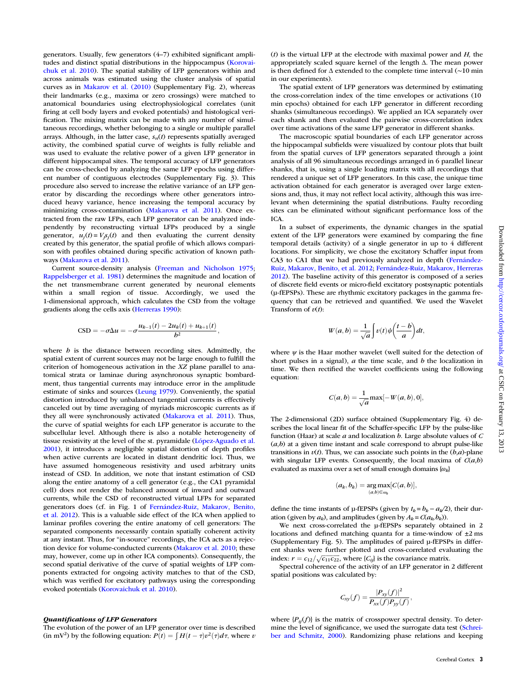generators. Usually, few generators (4–7) exhibited significant ampli-tudes and distinct spatial distributions in the hippocampus [\(Korovai](#page-13-0)[chuk et al. 2010\)](#page-13-0). The spatial stability of LFP generators within and across animals was estimated using the cluster analysis of spatial curves as in [Makarov et al. \(2010\)](#page-13-0) ([Supplementary Fig. 2\)](http://cercor.oxfordjournals.org/lookup/suppl/doi:10.1093/cercor/bht022/-/DC1), whereas their landmarks (e.g., maxima or zero crossings) were matched to anatomical boundaries using electrophysiological correlates (unit firing at cell body layers and evoked potentials) and histological verification. The mixing matrix can be made with any number of simultaneous recordings, whether belonging to a single or multiple parallel arrays. Although, in the latter case,  $s_n(t)$  represents spatially averaged activity, the combined spatial curve of weights is fully reliable and was used to evaluate the relative power of a given LFP generator in different hippocampal sites. The temporal accuracy of LFP generators can be cross-checked by analyzing the same LFP epochs using different number of contiguous electrodes ([Supplementary Fig. 3\)](http://cercor.oxfordjournals.org/lookup/suppl/doi:10.1093/cercor/bht022/-/DC1). This procedure also served to increase the relative variance of an LFP generator by discarding the recordings where other generators introduced heavy variance, hence increasing the temporal accuracy by minimizing cross-contamination ([Makarova et al. 2011\)](#page-13-0). Once extracted from the raw LFPs, each LFP generator can be analyzed independently by reconstructing virtual LFPs produced by a single generator,  $u_j(t) = V_i s_j(t)$  and then evaluating the current density created by this generator, the spatial profile of which allows comparison with profiles obtained during specific activation of known pathways [\(Makarova et al. 2011\)](#page-13-0).

Current source-density analysis ([Freeman and Nicholson 1975;](#page-13-0) [Rappelsberger et al. 1981](#page-14-0)) determines the magnitude and location of the net transmembrane current generated by neuronal elements within a small region of tissue. Accordingly, we used the 1-dimensional approach, which calculates the CSD from the voltage gradients along the cells axis ([Herreras 1990\)](#page-13-0):

$$
CSD = -\sigma \Delta u = -\sigma \frac{u_{k-1}(t) - 2u_k(t) + u_{k+1}(t)}{b^2},
$$

where  $h$  is the distance between recording sites. Admittedly, the spatial extent of current sources may not be large enough to fulfill the criterion of homogeneous activation in the XZ plane parallel to anatomical strata or laminae during asynchronous synaptic bombardment, thus tangential currents may introduce error in the amplitude estimate of sinks and sources [\(Leung 1979\)](#page-13-0). Conveniently, the spatial distortion introduced by unbalanced tangential currents is effectively canceled out by time averaging of myriads microscopic currents as if they all were synchronously activated [\(Makarova et al. 2011](#page-13-0)). Thus, the curve of spatial weights for each LFP generator is accurate to the subcellular level. Although there is also a notable heterogeneity of tissue resistivity at the level of the st. pyramidale [\(López-Aguado et al.](#page-13-0) [2001\)](#page-13-0), it introduces a negligible spatial distortion of depth profiles when active currents are located in distant dendritic loci. Thus, we have assumed homogeneous resistivity and used arbitrary units instead of CSD. In addition, we note that instant estimation of CSD along the entire anatomy of a cell generator (e.g., the CA1 pyramidal cell) does not render the balanced amount of inward and outward currents, while the CSD of reconstructed virtual LFPs for separated generators does (cf. in Fig. 1 of [Fernández-Ruiz, Makarov, Benito,](#page-13-0) [et al. 2012](#page-13-0)). This is a valuable side effect of the ICA when applied to laminar profiles covering the entire anatomy of cell generators: The separated components necessarily contain spatially coherent activity at any instant. Thus, for "in-source" recordings, the ICA acts as a rejection device for volume-conducted currents ([Makarov et al. 2010](#page-13-0); these may, however, come up in other ICA components). Consequently, the second spatial derivative of the curve of spatial weights of LFP components extracted for ongoing activity matches to that of the CSD, which was verified for excitatory pathways using the corresponding evoked potentials ([Korovaichuk et al. 2010\)](#page-13-0).

#### Quantifications of LFP Generators

The evolution of the power of an LFP generator over time is described (in mV<sup>2</sup>) by the following equation:  $P(t) = \int H(t - \tau) v^2(\tau) d\tau$ , where v

 $(t)$  is the virtual LFP at the electrode with maximal power and  $H$ , the appropriately scaled square kernel of the length Δ. The mean power is then defined for Δ extended to the complete time interval (∼10 min in our experiments).

The spatial extent of LFP generators was determined by estimating the cross-correlation index of the time envelopes or activations (10 min epochs) obtained for each LFP generator in different recording shanks (simultaneous recordings). We applied an ICA separately over each shank and then evaluated the pairwise cross-correlation index over time activations of the same LFP generator in different shanks.

The macroscopic spatial boundaries of each LFP generator across the hippocampal subfields were visualized by contour plots that built from the spatial curves of LFP generators separated through a joint analysis of all 96 simultaneous recordings arranged in 6 parallel linear shanks, that is, using a single loading matrix with all recordings that rendered a unique set of LFP generators. In this case, the unique time activation obtained for each generator is averaged over large extensions and, thus, it may not reflect local activity, although this was irrelevant when determining the spatial distributions. Faulty recording sites can be eliminated without significant performance loss of the ICA.

In a subset of experiments, the dynamic changes in the spatial extent of the LFP generators were examined by comparing the fine temporal details (activity) of a single generator in up to 4 different locations. For simplicity, we chose the excitatory Schaffer input from CA3 to CA1 that we had previously analyzed in depth [\(Fernández-](#page-13-0)[Ruiz, Makarov, Benito, et al. 2012;](#page-13-0) [Fernández-Ruiz, Makarov, Herreras](#page-13-0) [2012\)](#page-13-0). The baseline activity of this generator is composed of a series of discrete field events or micro-field excitatory postsynaptic potentials (µ-fEPSPs). These are rhythmic excitatory packages in the gamma frequency that can be retrieved and quantified. We used the Wavelet Transform of  $v(t)$ :

$$
W(a,b)=\frac{1}{\sqrt{a}}\bigg\lbrack\,v(t)\psi\bigg(\frac{t-b}{a}\bigg)dt,
$$

where  $\psi$  is the Haar mother wavelet (well suited for the detection of short pulses in a signal),  $a$  the time scale, and  $b$  the localization in time. We then rectified the wavelet coefficients using the following equation:

$$
C(a,b)=\frac{1}{\sqrt{a}}\max[-W(a,b),0],
$$

The 2-dimensional (2D) surface obtained [\(Supplementary Fig. 4\)](http://cercor.oxfordjournals.org/lookup/suppl/doi:10.1093/cercor/bht022/-/DC1) describes the local linear fit of the Schaffer-specific LFP by the pulse-like function (Haar) at scale  $a$  and localization  $b$ . Large absolute values of  $C$  $(a,b)$  at a given time instant and scale correspond to abrupt pulse-like transitions in  $v(t)$ . Thus, we can associate such points in the  $(b,a)$ -plane with singular LFP events. Consequently, the local maxima of  $C(a,b)$ evaluated as maxima over a set of small enough domains  $\{\omega_k\}$ 

$$
(a_k, b_k) = \underset{(a,b)\in \omega_k}{\arg \max} [C(a,b)],
$$

define the time instants of µ-fEPSPs (given by  $t_k = b_k - a_k/2$ ), their duration (given by  $a_k$ ), and amplitudes (given by  $A_k = C(a_k, b_k)$ ).

We next cross-correlated the µ-fEPSPs separately obtained in 2 locations and defined matching quanta for a time-window of  $\pm 2$  ms ([Supplementary Fig. 5\)](http://cercor.oxfordjournals.org/lookup/suppl/doi:10.1093/cercor/bht022/-/DC1). The amplitudes of paired µ-fEPSPs in different shanks were further plotted and cross-correlated evaluating the index:  $r = c_{12}/\sqrt{c_{11}c_{22}}$ , where  $\{C_{ij}\}$  is the covariance matrix.

Spectral coherence of the activity of an LFP generator in 2 different spatial positions was calculated by:

$$
C_{xy}(f) = \frac{|P_{xy}(f)|^2}{P_{xx}(f)P_{yy}(f)},
$$

where  $\{P_{ij}(f)\}\$ is the matrix of crosspower spectral density. To determine the level of significance, we used the surrogate data test [\(Schrei](#page-14-0)[ber and Schmitz, 2000\)](#page-14-0). Randomizing phase relations and keeping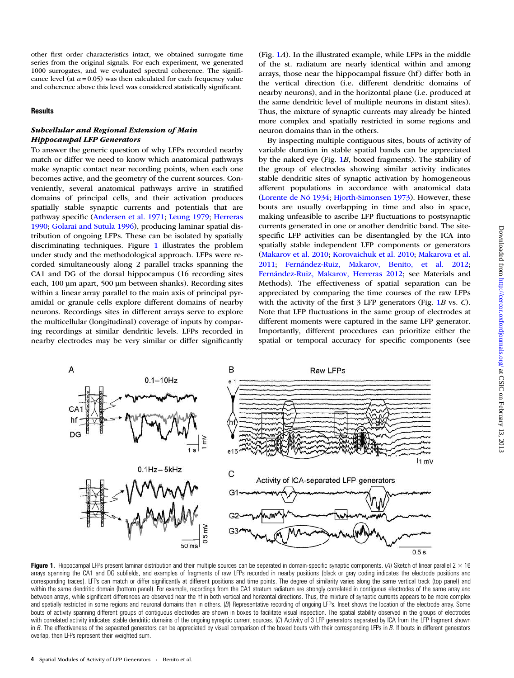<span id="page-3-0"></span>other first order characteristics intact, we obtained surrogate time series from the original signals. For each experiment, we generated 1000 surrogates, and we evaluated spectral coherence. The significance level (at  $\alpha$  = 0.05) was then calculated for each frequency value and coherence above this level was considered statistically significant.

### **Results**

### Subcellular and Regional Extension of Main Hippocampal LFP Generators

To answer the generic question of why LFPs recorded nearby match or differ we need to know which anatomical pathways make synaptic contact near recording points, when each one becomes active, and the geometry of the current sources. Conveniently, several anatomical pathways arrive in stratified domains of principal cells, and their activation produces spatially stable synaptic currents and potentials that are pathway specific ([Andersen et al. 1971;](#page-13-0) [Leung 1979;](#page-13-0) [Herreras](#page-13-0) [1990;](#page-13-0) [Golarai and Sutula 1996\)](#page-13-0), producing laminar spatial distribution of ongoing LFPs. These can be isolated by spatially discriminating techniques. Figure 1 illustrates the problem under study and the methodological approach. LFPs were recorded simultaneously along 2 parallel tracks spanning the CA1 and DG of the dorsal hippocampus (16 recording sites each, 100 µm apart, 500 µm between shanks). Recording sites within a linear array parallel to the main axis of principal pyramidal or granule cells explore different domains of nearby neurons. Recordings sites in different arrays serve to explore the multicellular (longitudinal) coverage of inputs by comparing recordings at similar dendritic levels. LFPs recorded in nearby electrodes may be very similar or differ significantly (Fig. 1A). In the illustrated example, while LFPs in the middle of the st. radiatum are nearly identical within and among arrays, those near the hippocampal fissure (hf) differ both in the vertical direction (i.e. different dendritic domains of nearby neurons), and in the horizontal plane (i.e. produced at the same dendritic level of multiple neurons in distant sites). Thus, the mixture of synaptic currents may already be hinted more complex and spatially restricted in some regions and neuron domains than in the others.

By inspecting multiple contiguous sites, bouts of activity of variable duration in stable spatial bands can be appreciated by the naked eye (Fig. 1B, boxed fragments). The stability of the group of electrodes showing similar activity indicates stable dendritic sites of synaptic activation by homogeneous afferent populations in accordance with anatomical data [\(Lorente de Nó 1934](#page-13-0); [Hjorth-Simonsen 1973](#page-13-0)). However, these bouts are usually overlapping in time and also in space, making unfeasible to ascribe LFP fluctuations to postsynaptic currents generated in one or another dendritic band. The sitespecific LFP activities can be disentangled by the ICA into spatially stable independent LFP components or generators [\(Makarov et al. 2010;](#page-13-0) [Korovaichuk et al. 2010;](#page-13-0) [Makarova et al.](#page-13-0) [2011;](#page-13-0) [Fernández-Ruiz, Makarov, Benito, et al. 2012](#page-13-0); [Fernández-Ruiz, Makarov, Herreras 2012](#page-13-0); see Materials and Methods). The effectiveness of spatial separation can be appreciated by comparing the time courses of the raw LFPs with the activity of the first 3 LFP generators (Fig. 1B vs. C). Note that LFP fluctuations in the same group of electrodes at different moments were captured in the same LFP generator. Importantly, different procedures can prioritize either the spatial or temporal accuracy for specific components (see



Figure 1. Hippocampal LFPs present laminar distribution and their multiple sources can be separated in domain-specific synaptic components. (4) Sketch of linear parallel  $2 \times 16$ arrays spanning the CA1 and DG subfields, and examples of fragments of raw LFPs recorded in nearby positions (black or gray coding indicates the electrode positions and corresponding traces). LFPs can match or differ significantly at different positions and time points. The degree of similarity varies along the same vertical track (top panel) and within the same dendritic domain (bottom panel). For example, recordings from the CA1 stratum radiatum are strongly correlated in contiguous electrodes of the same array and between arrays, while significant differences are observed near the hf in both vertical and horizontal directions. Thus, the mixture of synaptic currents appears to be more complex and spatially restricted in some regions and neuronal domains than in others. (B) Representative recording of ongoing LFPs. Inset shows the location of the electrode array. Some bouts of activity spanning different groups of contiguous electrodes are shown in boxes to facilitate visual inspection. The spatial stability observed in the groups of electrodes with correlated activity indicates stable dendritic domains of the ongoing synaptic current sources. (C) Activity of 3 LFP generators separated by ICA from the LFP fragment shown in B. The effectiveness of the separated generators can be appreciated by visual comparison of the boxed bouts with their corresponding LFPs in B. If bouts in different generators overlap, then LFPs represent their weighted sum.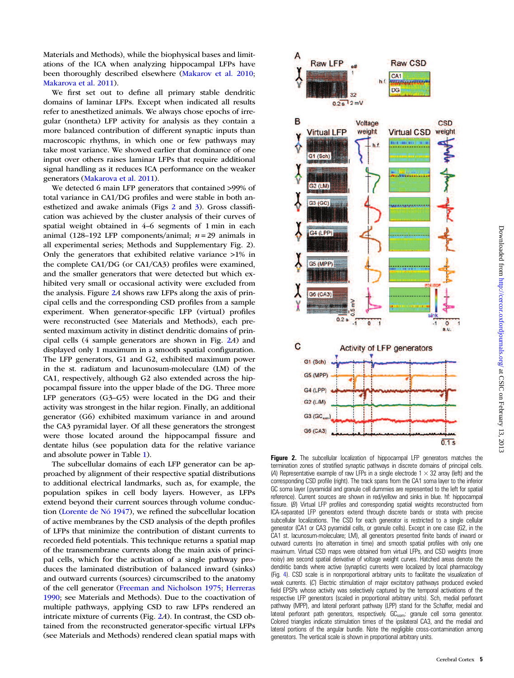<span id="page-4-0"></span>Materials and Methods), while the biophysical bases and limitations of the ICA when analyzing hippocampal LFPs have been thoroughly described elsewhere ([Makarov et al. 2010;](#page-13-0) [Makarova et al. 2011\)](#page-13-0).

We first set out to define all primary stable dendritic domains of laminar LFPs. Except when indicated all results refer to anesthetized animals. We always chose epochs of irregular (nontheta) LFP activity for analysis as they contain a more balanced contribution of different synaptic inputs than macroscopic rhythms, in which one or few pathways may take most variance. We showed earlier that dominance of one input over others raises laminar LFPs that require additional signal handling as it reduces ICA performance on the weaker generators [\(Makarova et al. 2011\)](#page-13-0).

We detected 6 main LFP generators that contained >99% of total variance in CA1/DG profiles and were stable in both anesthetized and awake animals (Figs 2 and [3](#page-5-0)). Gross classification was achieved by the cluster analysis of their curves of spatial weight obtained in 4–6 segments of 1 min in each animal (128–192 LFP components/animal;  $n = 29$  animals in all experimental series; Methods and [Supplementary Fig. 2](http://cercor.oxfordjournals.org/lookup/suppl/doi:10.1093/cercor/bht022/-/DC1)). Only the generators that exhibited relative variance >1% in the complete CA1/DG (or CA1/CA3) profiles were examined, and the smaller generators that were detected but which exhibited very small or occasional activity were excluded from the analysis. Figure 2A shows raw LFPs along the axis of principal cells and the corresponding CSD profiles from a sample experiment. When generator-specific LFP (virtual) profiles were reconstructed (see Materials and Methods), each presented maximum activity in distinct dendritic domains of principal cells (4 sample generators are shown in Fig. 2A) and displayed only 1 maximum in a smooth spatial configuration. The LFP generators, G1 and G2, exhibited maximum power in the st. radiatum and lacunosum-moleculare (LM) of the CA1, respectively, although G2 also extended across the hippocampal fissure into the upper blade of the DG. Three more LFP generators (G3–G5) were located in the DG and their activity was strongest in the hilar region. Finally, an additional generator (G6) exhibited maximum variance in and around the CA3 pyramidal layer. Of all these generators the strongest were those located around the hippocampal fissure and dentate hilus (see population data for the relative variance and absolute power in Table [1\)](#page-5-0).

The subcellular domains of each LFP generator can be approached by alignment of their respective spatial distributions to additional electrical landmarks, such as, for example, the population spikes in cell body layers. However, as LFPs extend beyond their current sources through volume conduction [\(Lorente de Nó 1947\)](#page-13-0), we refined the subcellular location of active membranes by the CSD analysis of the depth profiles of LFPs that minimize the contribution of distant currents to recorded field potentials. This technique returns a spatial map of the transmembrane currents along the main axis of principal cells, which for the activation of a single pathway produces the laminated distribution of balanced inward (sinks) and outward currents (sources) circumscribed to the anatomy of the cell generator ([Freeman and Nicholson 1975;](#page-13-0) [Herreras](#page-13-0) [1990](#page-13-0); see Materials and Methods). Due to the coactivation of multiple pathways, applying CSD to raw LFPs rendered an intricate mixture of currents (Fig. 2A). In contrast, the CSD obtained from the reconstructed generator-specific virtual LFPs (see Materials and Methods) rendered clean spatial maps with



**Figure 2.** The subcellular localization of hippocampal LFP generators matches the termination zones of stratified synaptic pathways in discrete domains of principal cells. (4) Representative example of raw LFPs in a single electrode  $1 \times 32$  array (left) and the corresponding CSD profile (right). The track spans from the CA1 soma layer to the inferior GC soma layer (pyramidal and granule cell dummies are represented to the left for spatial reference). Current sources are shown in red/yellow and sinks in blue. hf: hippocampal fissure. (B) Virtual LFP profiles and corresponding spatial weights reconstructed from ICA-separated LFP generators extend through discrete bands or strata with precise subcellular localizations. The CSD for each generator is restricted to a single cellular generator (CA1 or CA3 pyramidal cells, or granule cells). Except in one case (G2, in the CA1 st. lacunosum-moleculare; LM), all generators presented finite bands of inward or outward currents (no alternation in time) and smooth spatial profiles with only one maximum. Virtual CSD maps were obtained from virtual LFPs, and CSD weights (more noisy) are second spatial derivative of voltage weight curves. Hatched areas denote the dendritic bands where active (synaptic) currents were localized by local pharmacology (Fig. [4\)](#page-7-0). CSD scale is in nonproportional arbitrary units to facilitate the visualization of weak currents. (C) Electric stimulation of major excitatory pathways produced evoked field EPSPs whose activity was selectively captured by the temporal activations of the respective LFP generators (scaled in proportional arbitrary units). Sch, medial perforant pathway (MPP), and lateral perforant pathway (LPP) stand for the Schaffer, medial and lateral perforant path generators, respectively. GC<sub>som</sub>: granule cell soma generator. Colored triangles indicate stimulation times of the ipsilateral CA3, and the medial and lateral portions of the angular bundle. Note the negligible cross-contamination among generators. The vertical scale is shown in proportional arbitrary units.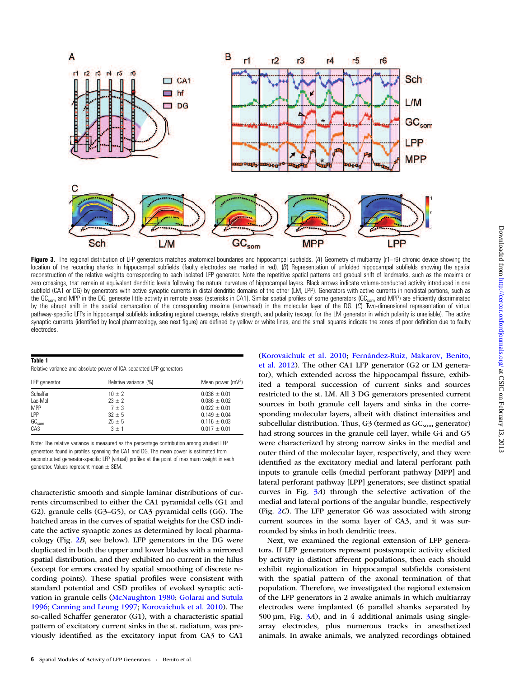<span id="page-5-0"></span>

Figure 3. The regional distribution of LFP generators matches anatomical boundaries and hippocampal subfields. (A) Geometry of multiarray (r1–r6) chronic device showing the location of the recording shanks in hippocampal subfields (faulty electrodes are marked in red). (B) Representation of unfolded hippocampal subfields showing the spatial reconstruction of the relative weights corresponding to each isolated LFP generator. Note the repetitive spatial patterns and gradual shift of landmarks, such as the maxima or zero crossings, that remain at equivalent dendritic levels following the natural curvature of hippocampal layers. Black arrows indicate volume-conducted activity introduced in one subfield (CA1 or DG) by generators with active synaptic currents in distal dendritic domains of the other (LM, LPP). Generators with active currents in nondistal portions, such as the GC<sub>som</sub> and MPP in the DG, generate little activity in remote areas (asterisks in CA1). Similar spatial profiles of some generators (GC<sub>som</sub> and MPP) are efficiently discriminated by the abrupt shift in the spatial demarcation of the corresponding maxima (arrowhead) in the molecular layer of the DG. (C) Two-dimensional representation of virtual pathway-specific LFPs in hippocampal subfields indicating regional coverage, relative strength, and polarity (except for the LM generator in which polarity is unreliable). The active synaptic currents (identified by local pharmacology, see next figure) are defined by yellow or white lines, and the small squares indicate the zones of poor definition due to faulty electrodes.

#### Table 1

Relative variance and absolute power of ICA-separated LFP generators

| LFP generator     | Relative variance (%) | Mean power $(mV^2)$ |
|-------------------|-----------------------|---------------------|
| Schaffer          | $10 \pm 2$            | $0.036 \pm 0.01$    |
| Lac-Mol           | $23 \pm 2$            | $0.086 \pm 0.02$    |
| <b>MPP</b>        | $7 \pm 3$             | $0.022 \pm 0.01$    |
| <b>LPP</b>        | $32 \pm 5$            | $0.149 \pm 0.04$    |
| GC <sub>som</sub> | $25 \pm 5$            | $0.116 \pm 0.03$    |
| CA <sub>3</sub>   | $3 \pm 1$             | $0.017 \pm 0.01$    |

Note: The relative variance is measured as the percentage contribution among studied LFP generators found in profiles spanning the CA1 and DG. The mean power is estimated from reconstructed generator-specific LFP (virtual) profiles at the point of maximum weight in each generator. Values represent mean  $\pm$  SEM.

characteristic smooth and simple laminar distributions of currents circumscribed to either the CA1 pyramidal cells (G1 and G2), granule cells (G3–G5), or CA3 pyramidal cells (G6). The hatched areas in the curves of spatial weights for the CSD indicate the active synaptic zones as determined by local pharmacology (Fig. [2](#page-4-0)B, see below). LFP generators in the DG were duplicated in both the upper and lower blades with a mirrored spatial distribution, and they exhibited no current in the hilus (except for errors created by spatial smoothing of discrete recording points). These spatial profiles were consistent with standard potential and CSD profiles of evoked synaptic activation in granule cells [\(McNaughton 1980;](#page-13-0) [Golarai and Sutula](#page-13-0) [1996;](#page-13-0) [Canning and Leung 1997;](#page-13-0) [Korovaichuk et al. 2010](#page-13-0)). The so-called Schaffer generator (G1), with a characteristic spatial pattern of excitatory current sinks in the st. radiatum, was previously identified as the excitatory input from CA3 to CA1 [\(Korovaichuk et al. 2010](#page-13-0); [Fernández-Ruiz, Makarov, Benito,](#page-13-0) [et al. 2012\)](#page-13-0). The other CA1 LFP generator (G2 or LM generator), which extended across the hippocampal fissure, exhibited a temporal succession of current sinks and sources restricted to the st. LM. All 3 DG generators presented current sources in both granule cell layers and sinks in the corresponding molecular layers, albeit with distinct intensities and subcellular distribution. Thus,  $G3$  (termed as  $GC<sub>som</sub>$  generator) had strong sources in the granule cell layer, while G4 and G5 were characterized by strong narrow sinks in the medial and outer third of the molecular layer, respectively, and they were identified as the excitatory medial and lateral perforant path inputs to granule cells (medial perforant pathway [MPP] and lateral perforant pathway [LPP] generators; see distinct spatial curves in Fig.  $3A$ ) through the selective activation of the medial and lateral portions of the angular bundle, respectively (Fig. [2](#page-4-0)C). The LFP generator G6 was associated with strong current sources in the soma layer of CA3, and it was surrounded by sinks in both dendritic trees.

Next, we examined the regional extension of LFP generators. If LFP generators represent postsynaptic activity elicited by activity in distinct afferent populations, then each should exhibit regionalization in hippocampal subfields consistent with the spatial pattern of the axonal termination of that population. Therefore, we investigated the regional extension of the LFP generators in 2 awake animals in which multiarray electrodes were implanted (6 parallel shanks separated by 500  $\mu$ m, Fig.  $3A$ ), and in 4 additional animals using singlearray electrodes, plus numerous tracks in anesthetized animals. In awake animals, we analyzed recordings obtained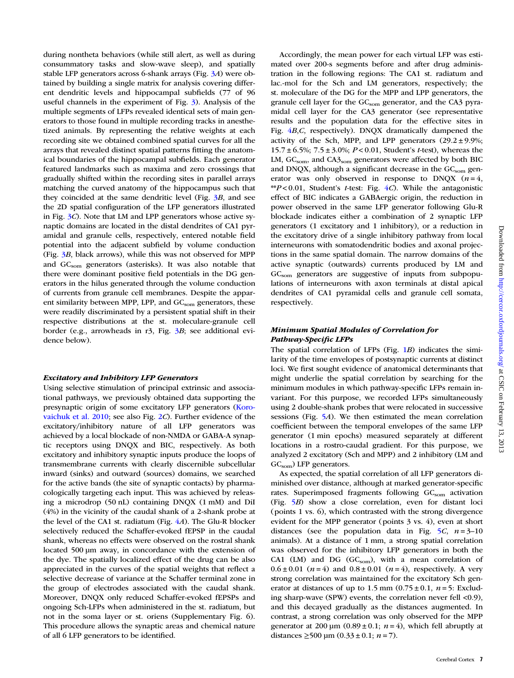during nontheta behaviors (while still alert, as well as during consummatory tasks and slow-wave sleep), and spatially stable LFP generators across 6-shank arrays (Fig. [3](#page-5-0)A) were obtained by building a single matrix for analysis covering different dendritic levels and hippocampal subfields (77 of 96 useful channels in the experiment of Fig. [3\)](#page-5-0). Analysis of the multiple segments of LFPs revealed identical sets of main generators to those found in multiple recording tracks in anesthetized animals. By representing the relative weights at each recording site we obtained combined spatial curves for all the arrays that revealed distinct spatial patterns fitting the anatomical boundaries of the hippocampal subfields. Each generator featured landmarks such as maxima and zero crossings that gradually shifted within the recording sites in parallel arrays matching the curved anatomy of the hippocampus such that they coincided at the same dendritic level (Fig.  $3B$  $3B$ , and see the 2D spatial configuration of the LFP generators illustrated in Fig. [3](#page-5-0)C). Note that LM and LPP generators whose active synaptic domains are located in the distal dendrites of CA1 pyramidal and granule cells, respectively, entered notable field potential into the adjacent subfield by volume conduction (Fig. [3](#page-5-0)B, black arrows), while this was not observed for MPP and GC<sub>som</sub> generators (asterisks). It was also notable that there were dominant positive field potentials in the DG generators in the hilus generated through the volume conduction of currents from granule cell membranes. Despite the apparent similarity between MPP, LPP, and  $GC<sub>som</sub>$  generators, these were readily discriminated by a persistent spatial shift in their respective distributions at the st. moleculare-granule cell border (e.g., arrowheads in r3, Fig. [3](#page-5-0)B; see additional evidence below).

### Excitatory and Inhibitory LFP Generators

Using selective stimulation of principal extrinsic and associational pathways, we previously obtained data supporting the presynaptic origin of some excitatory LFP generators ([Koro](#page-13-0)[vaichuk et al. 2010](#page-13-0); see also Fig. [2](#page-4-0)C). Further evidence of the excitatory/inhibitory nature of all LFP generators was achieved by a local blockade of non-NMDA or GABA-A synaptic receptors using DNQX and BIC, respectively. As both excitatory and inhibitory synaptic inputs produce the loops of transmembrane currents with clearly discernible subcellular inward (sinks) and outward (sources) domains, we searched for the active bands (the site of synaptic contacts) by pharmacologically targeting each input. This was achieved by releasing a microdrop (50 nL) containing DNQX (1 mM) and DiI (4%) in the vicinity of the caudal shank of a 2-shank probe at the level of the CA1 st. radiatum (Fig. [4](#page-7-0)A). The Glu-R blocker selectively reduced the Schaffer-evoked fEPSP in the caudal shank, whereas no effects were observed on the rostral shank located 500 µm away, in concordance with the extension of the dye. The spatially localized effect of the drug can be also appreciated in the curves of the spatial weights that reflect a selective decrease of variance at the Schaffer terminal zone in the group of electrodes associated with the caudal shank. Moreover, DNQX only reduced Schaffer-evoked fEPSPs and ongoing Sch-LFPs when administered in the st. radiatum, but not in the soma layer or st. oriens ([Supplementary Fig. 6](http://cercor.oxfordjournals.org/lookup/suppl/doi:10.1093/cercor/bht022/-/DC1)). This procedure allows the synaptic areas and chemical nature of all 6 LFP generators to be identified.

Accordingly, the mean power for each virtual LFP was estimated over 200-s segments before and after drug administration in the following regions: The CA1 st. radiatum and lac.-mol for the Sch and LM generators, respectively; the st. moleculare of the DG for the MPP and LPP generators, the granule cell layer for the GC<sub>som</sub> generator, and the CA3 pyramidal cell layer for the CA3 generator (see representative results and the population data for the effective sites in Fig. [4](#page-7-0)B,C, respectively). DNQX dramatically dampened the activity of the Sch, MPP, and LPP generators  $(29.2 \pm 9.9\%;$ 15.7 ± 6.5%; 7.5 ± 3.0%;  $P < 0.01$ , Student's t-test), whereas the LM, GC<sub>som</sub>, and CA3<sub>som</sub> generators were affected by both BIC and DNQX, although a significant decrease in the  $GC<sub>som</sub>$  generator was only observed in response to DNQX  $(n=4,$  $*P<0.01$ , Student's t-test: Fig. [4](#page-7-0)C). While the antagonistic effect of BIC indicates a GABAergic origin, the reduction in power observed in the same LFP generator following Glu-R blockade indicates either a combination of 2 synaptic LFP generators (1 excitatory and 1 inhibitory), or a reduction in the excitatory drive of a single inhibitory pathway from local interneurons with somatodendritic bodies and axonal projections in the same spatial domain. The narrow domains of the active synaptic (outwards) currents produced by LM and GC<sub>som</sub> generators are suggestive of inputs from subpopulations of interneurons with axon terminals at distal apical dendrites of CA1 pyramidal cells and granule cell somata, respectively.

# Minimum Spatial Modules of Correlation for Pathway-Specific LFPs

The spatial correlation of LFPs (Fig. [1](#page-3-0)B) indicates the similarity of the time envelopes of postsynaptic currents at distinct loci. We first sought evidence of anatomical determinants that might underlie the spatial correlation by searching for the minimum modules in which pathway-specific LFPs remain invariant. For this purpose, we recorded LFPs simultaneously using 2 double-shank probes that were relocated in successive sessions (Fig. [5](#page-7-0)A). We then estimated the mean correlation coefficient between the temporal envelopes of the same LFP generator (1 min epochs) measured separately at different locations in a rostro-caudal gradient. For this purpose, we analyzed 2 excitatory (Sch and MPP) and 2 inhibitory (LM and GC<sub>som</sub>) LFP generators.

As expected, the spatial correlation of all LFP generators diminished over distance, although at marked generator-specific rates. Superimposed fragments following GC<sub>som</sub> activation (Fig. [5](#page-7-0)B) show a close correlation, even for distant loci (points 1 vs. 6), which contrasted with the strong divergence evident for the MPP generator (points 3 vs. 4), even at short distances (see the population data in Fig.  $5C$  $5C$ ,  $n=3-10$ animals). At a distance of 1 mm, a strong spatial correlation was observed for the inhibitory LFP generators in both the CA1 (LM) and DG  $(GC<sub>som</sub>)$ , with a mean correlation of  $0.6 \pm 0.01$  ( $n = 4$ ) and  $0.8 \pm 0.01$  ( $n = 4$ ), respectively. A very strong correlation was maintained for the excitatory Sch generator at distances of up to 1.5 mm  $(0.75 \pm 0.1, n = 5$ : Excluding sharp-wave (SPW) events, the correlation never fell <0.9), and this decayed gradually as the distances augmented. In contrast, a strong correlation was only observed for the MPP generator at 200 µm (0.89  $\pm$  0.1; n = 4), which fell abruptly at distances  $\geq 500 \text{ µm}$   $(0.33 \pm 0.1; n = 7)$ .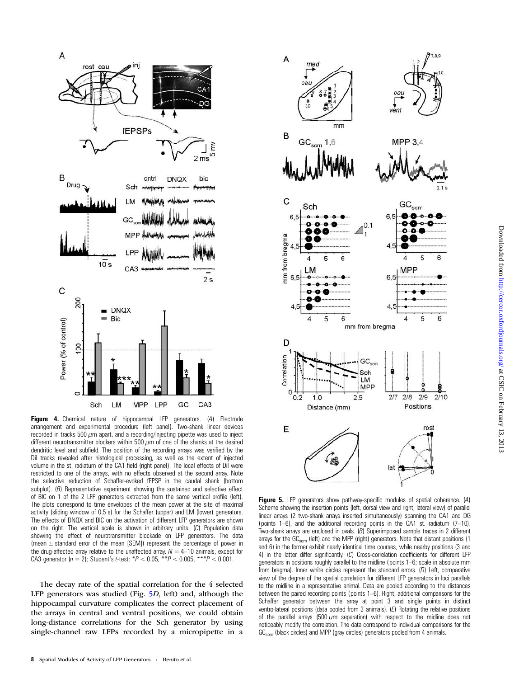<span id="page-7-0"></span>

arrangement and experimental procedure (left panel). Two-shank linear devices recorded in tracks 500  $\mu$ m apart, and a recording/injecting pipette was used to inject different neurotransmitter blockers within 500  $\mu$ m of one of the shanks at the desired dendritic level and subfield. The position of the recording arrays was verified by the DiI tracks revealed after histological processing, as well as the extent of injected volume in the st. radiatum of the CA1 field (right panel). The local effects of DiI were restricted to one of the arrays, with no effects observed at the second array. Note the selective reduction of Schaffer-evoked fEPSP in the caudal shank (bottom subplot).  $(B)$  Representative experiment showing the sustained and selective effect of BIC on 1 of the 2 LFP generators extracted from the same vertical profile (left). The plots correspond to time envelopes of the mean power at the site of maximal activity (sliding window of 0.5 s) for the Schaffer (upper) and LM (lower) generators. The effects of DNQX and BIC on the activation of different LFP generators are shown on the right. The vertical scale is shown in arbitrary units. (C) Population data showing the effect of neurotransmitter blockade on LFP generators. The data (mean  $\pm$  standard error of the mean [SEM]) represent the percentage of power in the drug-affected array relative to the unaffected array.  $N = 4-10$  animals, except for CA3 generator  $(n = 2)$ ; Student's t-test:  $*P < 0.05$ ,  $**P < 0.005$ ,  $**P < 0.001$ .

The decay rate of the spatial correlation for the 4 selected LFP generators was studied (Fig. 5D, left) and, although the hippocampal curvature complicates the correct placement of the arrays in central and ventral positions, we could obtain long-distance correlations for the Sch generator by using single-channel raw LFPs recorded by a micropipette in a



Figure 5. LFP generators show pathway-specific modules of spatial coherence. (A) Scheme showing the insertion points (left, dorsal view and right, lateral view) of parallel linear arrays (2 two-shank arrays inserted simultaneously) spanning the CA1 and DG (points 1–6), and the additional recording points in the CA1 st. radiatum (7–10). Two-shank arrays are enclosed in ovals. (B) Superimposed sample traces in 2 different arrays for the  $GC_{som}$  (left) and the MPP (right) generators. Note that distant positions (1 and 6) in the former exhibit nearly identical time courses, while nearby positions (3 and 4) in the latter differ significantly. (C) Cross-correlation coefficients for different LFP generators in positions roughly parallel to the midline (points 1–6; scale in absolute mm from bregma). Inner white circles represent the standard errors.  $(D)$  Left, comparative view of the degree of the spatial correlation for different LFP generators in loci parallels to the midline in a representative animal. Data are pooled according to the distances between the paired recording points (points 1–6). Right, additional comparisons for the Schaffer generator between the array at point 3 and single points in distinct ventro-lateral positions (data pooled from 3 animals).  $(E)$  Rotating the relative positions of the parallel arrays (500  $\mu$ m separation) with respect to the midline does not noticeably modify the correlation. The data correspond to individual comparisons for the GC<sub>som</sub> (black circles) and MPP (gray circles) generators pooled from 4 animals.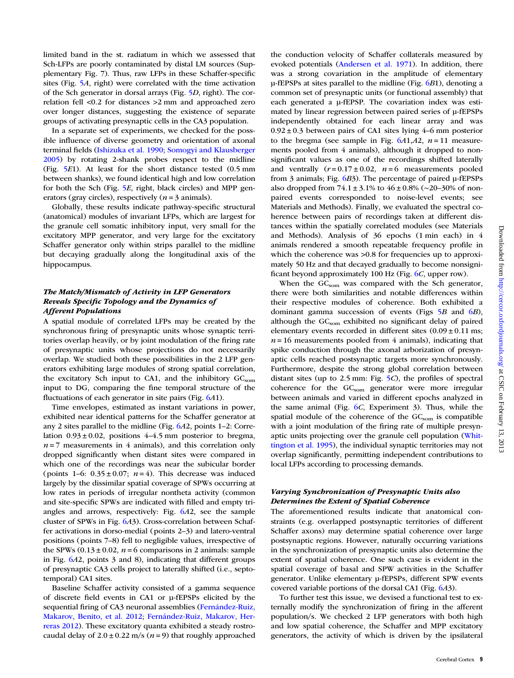limited band in the st. radiatum in which we assessed that Sch-LFPs are poorly contaminated by distal LM sources [\(Sup](http://cercor.oxfordjournals.org/lookup/suppl/doi:10.1093/cercor/bht022/-/DC1)[plementary Fig. 7\)](http://cercor.oxfordjournals.org/lookup/suppl/doi:10.1093/cercor/bht022/-/DC1). Thus, raw LFPs in these Schaffer-specific sites (Fig. [5](#page-7-0)A, right) were correlated with the time activation of the Sch generator in dorsal arrays (Fig. [5](#page-7-0)D, right). The correlation fell <0.2 for distances >2 mm and approached zero over longer distances, suggesting the existence of separate groups of activating presynaptic cells in the CA3 population.

In a separate set of experiments, we checked for the possible influence of diverse geometry and orientation of axonal terminal fields [\(Ishizuka et al. 1990;](#page-13-0) [Somogyi and Klausberger](#page-14-0) [2005](#page-14-0)) by rotating 2-shank probes respect to the midline (Fig. [5](#page-7-0)E1). At least for the short distance tested (0.5 mm between shanks), we found identical high and low correlation for both the Sch (Fig.  $5E$  $5E$ , right, black circles) and MPP generators (gray circles), respectively ( $n = 3$  animals).

Globally, these results indicate pathway-specific structural (anatomical) modules of invariant LFPs, which are largest for the granule cell somatic inhibitory input, very small for the excitatory MPP generator, and very large for the excitatory Schaffer generator only within strips parallel to the midline but decaying gradually along the longitudinal axis of the hippocampus.

# The Match/Mismatch of Activity in LFP Generators Reveals Specific Topology and the Dynamics of Afferent Populations

A spatial module of correlated LFPs may be created by the synchronous firing of presynaptic units whose synaptic territories overlap heavily, or by joint modulation of the firing rate of presynaptic units whose projections do not necessarily overlap. We studied both these possibilities in the 2 LFP generators exhibiting large modules of strong spatial correlation, the excitatory Sch input to CA1, and the inhibitory  $GC<sub>som</sub>$ input to DG, comparing the fine temporal structure of the fluctuations of each generator in site pairs (Fig. [6](#page-9-0)A1).

Time envelopes, estimated as instant variations in power, exhibited near identical patterns for the Schaffer generator at any 2 sites parallel to the midline (Fig. [6](#page-9-0)A2, points 1–2: Correlation  $0.93 \pm 0.02$ , positions 4–4.5 mm posterior to bregma,  $n = 7$  measurements in 4 animals), and this correlation only dropped significantly when distant sites were compared in which one of the recordings was near the subicular border (points  $1-6$ :  $0.35 \pm 0.07$ ;  $n = 4$ ). This decrease was induced largely by the dissimilar spatial coverage of SPWs occurring at low rates in periods of irregular nontheta activity (common and site-specific SPWs are indicated with filled and empty triangles and arrows, respectively: Fig. [6](#page-9-0)A2, see the sample cluster of SPWs in Fig. [6](#page-9-0)A3). Cross-correlation between Schaffer activations in dorso-medial (points 2–3) and latero-ventral positions (points 7–8) fell to negligible values, irrespective of the SPWs (0.13  $\pm$  0.02, *n* = 6 comparisons in 2 animals: sample in Fig. [6](#page-9-0)A2, points 3 and 8), indicating that different groups of presynaptic CA3 cells project to laterally shifted (i.e., septotemporal) CA1 sites.

Baseline Schaffer activity consisted of a gamma sequence of discrete field events in CA1 or µ-fEPSPs elicited by the sequential firing of CA3 neuronal assemblies [\(Fernández-Ruiz,](#page-13-0) [Makarov, Benito, et al. 2012](#page-13-0); [Fernández-Ruiz, Makarov, Her](#page-13-0)[reras 2012\)](#page-13-0). These excitatory quanta exhibited a steady rostrocaudal delay of  $2.0 \pm 0.22$  m/s ( $n = 9$ ) that roughly approached the conduction velocity of Schaffer collaterals measured by evoked potentials [\(Andersen et al. 1971\)](#page-13-0). In addition, there was a strong covariation in the amplitude of elementary  $\mu$ -fEPSPs at sites parallel to the midline (Fig.  $(6B1)$  $(6B1)$  $(6B1)$ , denoting a common set of presynaptic units (or functional assembly) that each generated a µ-fEPSP. The covariation index was estimated by linear regression between paired series of µ-fEPSPs independently obtained for each linear array and was  $0.92 \pm 0.3$  between pairs of CA1 sites lying 4–6 mm posterior to the bregma (see sample in Fig.  $6A1, A2$  $6A1, A2$ ,  $n = 11$  measurements pooled from 4 animals), although it dropped to nonsignificant values as one of the recordings shifted laterally and ventrally  $(r=0.17 \pm 0.02, n=6$  measurements pooled from 3 animals; Fig. [6](#page-9-0)B3). The percentage of paired µ-fEPSPs also dropped from 74.1 ± 3.1% to 46 ± 0.8% (∼20–30% of nonpaired events corresponded to noise-level events; see Materials and Methods). Finally, we evaluated the spectral coherence between pairs of recordings taken at different distances within the spatially correlated modules (see Materials and Methods). Analysis of 36 epochs (1 min each) in 4 animals rendered a smooth repeatable frequency profile in which the coherence was  $>0.8$  for frequencies up to approximately 50 Hz and that decayed gradually to become nonsignificant beyond approximately 100 Hz (Fig. [6](#page-9-0)C, upper row).

When the  $GC<sub>som</sub>$  was compared with the Sch generator, there were both similarities and notable differences within their respective modules of coherence. Both exhibited a dominant gamma succession of events (Figs  $5B$  $5B$  and  $6B$  $6B$ ), although the GC<sub>som</sub> exhibited no significant delay of paired elementary events recorded in different sites  $(0.09 \pm 0.11 \text{ ms})$ ;  $n = 16$  measurements pooled from 4 animals), indicating that spike conduction through the axonal arborization of presynaptic cells reached postsynaptic targets more synchronously. Furthermore, despite the strong global correlation between distant sites (up to 2.5 mm: Fig. [5](#page-7-0)C), the profiles of spectral coherence for the  $GC<sub>som</sub>$  generator were more irregular between animals and varied in different epochs analyzed in the same animal (Fig.  $6C$  $6C$ , Experiment 3). Thus, while the spatial module of the coherence of the GC<sub>som</sub> is compatible with a joint modulation of the firing rate of multiple presynaptic units projecting over the granule cell population ([Whit](#page-14-0)[tington et al. 1995\)](#page-14-0), the individual synaptic territories may not overlap significantly, permitting independent contributions to local LFPs according to processing demands.

# Varying Synchronization of Presynaptic Units also Determines the Extent of Spatial Coherence

The aforementioned results indicate that anatomical constraints (e.g. overlapped postsynaptic territories of different Schaffer axons) may determine spatial coherence over large postsynaptic regions. However, naturally occurring variations in the synchronization of presynaptic units also determine the extent of spatial coherence. One such case is evident in the spatial coverage of basal and SPW activities in the Schaffer generator. Unlike elementary µ-fEPSPs, different SPW events covered variable portions of the dorsal CA1 (Fig. [6](#page-9-0)A3).

To further test this issue, we devised a functional test to externally modify the synchronization of firing in the afferent population/s. We checked 2 LFP generators with both high and low spatial coherence, the Schaffer and MPP excitatory generators, the activity of which is driven by the ipsilateral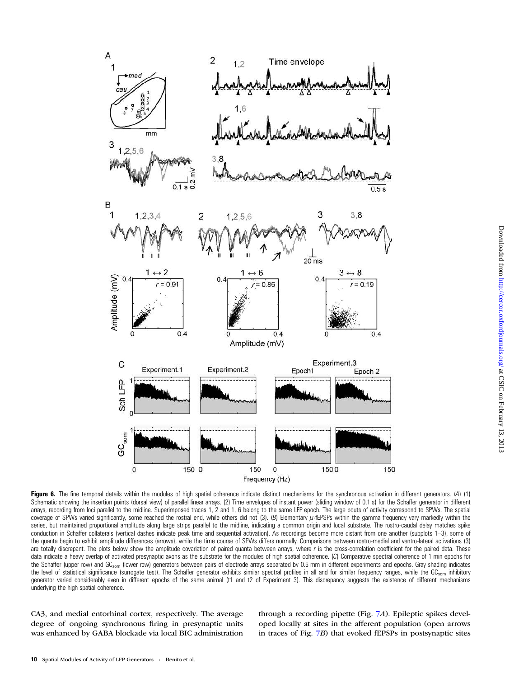<span id="page-9-0"></span>

Figure 6. The fine temporal details within the modules of high spatial coherence indicate distinct mechanisms for the synchronous activation in different generators. (A) (1) Schematic showing the insertion points (dorsal view) of parallel linear arrays. (2) Time envelopes of instant power (sliding window of 0.1 s) for the Schaffer generator in different arrays, recording from loci parallel to the midline. Superimposed traces 1, 2 and 1, 6 belong to the same LFP epoch. The large bouts of activity correspond to SPWs. The spatial coverage of SPWs varied significantly, some reached the rostral end, while others did not (3). (B) Elementary µ-fEPSPs within the gamma frequency vary markedly within the series, but maintained proportional amplitude along large strips parallel to the midline, indicating a common origin and local substrate. The rostro-caudal delay matches spike conduction in Schaffer collaterals (vertical dashes indicate peak time and sequential activation). As recordings become more distant from one another (subplots 1-3), some of the quanta begin to exhibit amplitude differences (arrows), while the time course of SPWs differs normally. Comparisons between rostro-medial and ventro-lateral activations (3) are totally discrepant. The plots below show the amplitude covariation of paired quanta between arrays, where r is the cross-correlation coefficient for the paired data. These data indicate a heavy overlap of activated presynaptic axons as the substrate for the modules of high spatial coherence. (C) Comparative spectral coherence of 1 min epochs for the Schaffer (upper row) and GC<sub>som</sub> (lower row) generators between pairs of electrode arrays separated by 0.5 mm in different experiments and epochs. Gray shading indicates the level of statistical significance (surrogate test). The Schaffer generator exhibits similar spectral profiles in all and for similar frequency ranges, while the GCsom inhibitory generator varied considerably even in different epochs of the same animal (t1 and t2 of Experiment 3). This discrepancy suggests the existence of different mechanisms underlying the high spatial coherence.

CA3, and medial entorhinal cortex, respectively. The average degree of ongoing synchronous firing in presynaptic units was enhanced by GABA blockade via local BIC administration

through a recording pipette (Fig. [7](#page-10-0)A). Epileptic spikes developed locally at sites in the afferent population (open arrows in traces of Fig. [7](#page-10-0)B) that evoked fEPSPs in postsynaptic sites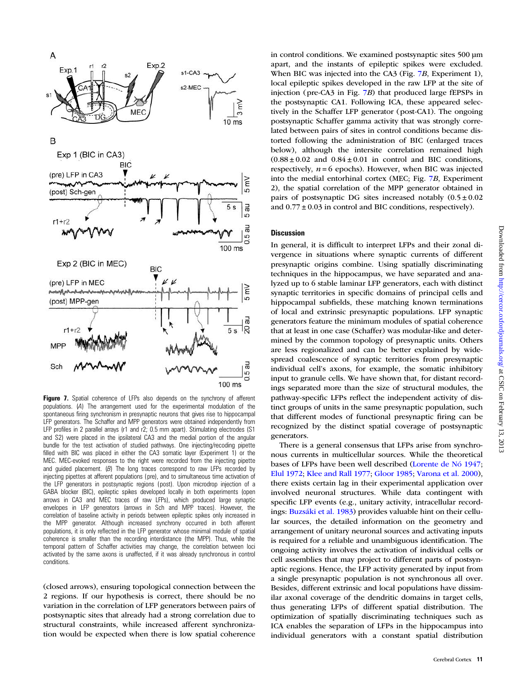<span id="page-10-0"></span>

Figure 7. Spatial coherence of LFPs also depends on the synchrony of afferent populations. (A) The arrangement used for the experimental modulation of the spontaneous firing synchronism in presynaptic neurons that gives rise to hippocampal LFP generators. The Schaffer and MPP generators were obtained independently from LFP profiles in 2 parallel arrays (r1 and r2; 0.5 mm apart). Stimulating electrodes (S1 and S2) were placed in the ipsilateral CA3 and the medial portion of the angular bundle for the test activation of studied pathways. One injecting/recoding pipette filled with BIC was placed in either the CA3 somatic layer (Experiment 1) or the MEC. MEC-evoked responses to the right were recorded from the injecting pipette and guided placement.  $(B)$  The long traces correspond to raw LFPs recorded by injecting pipettes at afferent populations (pre), and to simultaneous time activation of the LFP generators in postsynaptic regions (post). Upon microdrop injection of a GABA blocker (BIC), epileptic spikes developed locally in both experiments (open arrows in CA3 and MEC traces of raw LFPs), which produced large synaptic envelopes in LFP generators (arrows in Sch and MPP traces). However, the correlation of baseline activity in periods between epileptic spikes only increased in the MPP generator. Although increased synchrony occurred in both afferent populations, it is only reflected in the LFP generator whose minimal module of spatial coherence is smaller than the recording interdistance (the MPP). Thus, while the temporal pattern of Schaffer activities may change, the correlation between loci activated by the same axons is unaffected, if it was already synchronous in control conditions.

(closed arrows), ensuring topological connection between the 2 regions. If our hypothesis is correct, there should be no variation in the correlation of LFP generators between pairs of postsynaptic sites that already had a strong correlation due to structural constraints, while increased afferent synchronization would be expected when there is low spatial coherence in control conditions. We examined postsynaptic sites 500 µm apart, and the instants of epileptic spikes were excluded. When BIC was injected into the CA3 (Fig. 7B, Experiment 1), local epileptic spikes developed in the raw LFP at the site of injection (pre-CA3 in Fig. 7B) that produced large fEPSPs in the postsynaptic CA1. Following ICA, these appeared selectively in the Schaffer LFP generator (post-CA1). The ongoing postsynaptic Schaffer gamma activity that was strongly correlated between pairs of sites in control conditions became distorted following the administration of BIC (enlarged traces below), although the intersite correlation remained high  $(0.88 \pm 0.02$  and  $0.84 \pm 0.01$  in control and BIC conditions, respectively,  $n = 6$  epochs). However, when BIC was injected into the medial entorhinal cortex (MEC; Fig. 7B, Experiment 2), the spatial correlation of the MPP generator obtained in pairs of postsynaptic DG sites increased notably  $(0.5 \pm 0.02)$ and  $0.77 \pm 0.03$  in control and BIC conditions, respectively).

### **Discussion**

In general, it is difficult to interpret LFPs and their zonal divergence in situations where synaptic currents of different presynaptic origins combine. Using spatially discriminating techniques in the hippocampus, we have separated and analyzed up to 6 stable laminar LFP generators, each with distinct synaptic territories in specific domains of principal cells and hippocampal subfields, these matching known terminations of local and extrinsic presynaptic populations. LFP synaptic generators feature the minimum modules of spatial coherence that at least in one case (Schaffer) was modular-like and determined by the common topology of presynaptic units. Others are less regionalized and can be better explained by widespread coalescence of synaptic territories from presynaptic individual cell's axons, for example, the somatic inhibitory input to granule cells. We have shown that, for distant recordings separated more than the size of structural modules, the pathway-specific LFPs reflect the independent activity of distinct groups of units in the same presynaptic population, such that different modes of functional presynaptic firing can be recognized by the distinct spatial coverage of postsynaptic generators.

There is a general consensus that LFPs arise from synchronous currents in multicellular sources. While the theoretical bases of LFPs have been well described ([Lorente de Nó 1947;](#page-13-0) [Elul 1972;](#page-13-0) [Klee and Rall 1977](#page-13-0); [Gloor 1985;](#page-13-0) [Varona et al. 2000](#page-14-0)), there exists certain lag in their experimental application over involved neuronal structures. While data contingent with specific LFP events (e.g., unitary activity, intracellular recordings: [Buzsáki et al. 1983](#page-13-0)) provides valuable hint on their cellular sources, the detailed information on the geometry and arrangement of unitary neuronal sources and activating inputs is required for a reliable and unambiguous identification. The ongoing activity involves the activation of individual cells or cell assemblies that may project to different parts of postsynaptic regions. Hence, the LFP activity generated by input from a single presynaptic population is not synchronous all over. Besides, different extrinsic and local populations have dissimilar axonal coverage of the dendritic domains in target cells, thus generating LFPs of different spatial distribution. The optimization of spatially discriminating techniques such as ICA enables the separation of LFPs in the hippocampus into individual generators with a constant spatial distribution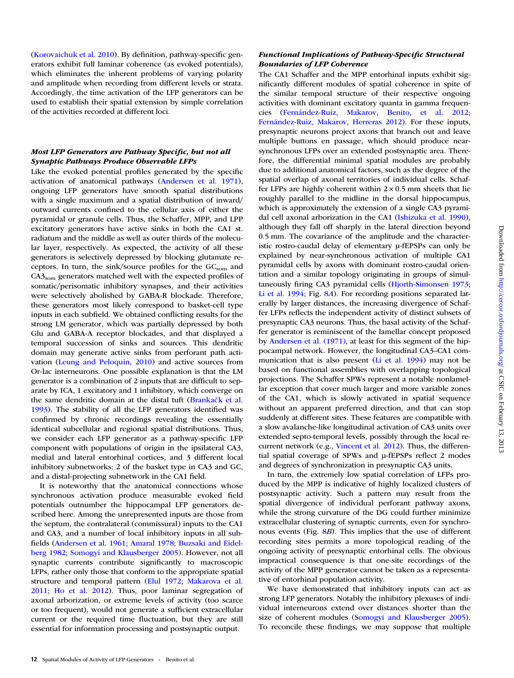[\(Korovaichuk et al. 2010\)](#page-13-0). By definition, pathway-specific generators exhibit full laminar coherence (as evoked potentials), which eliminates the inherent problems of varying polarity and amplitude when recording from different levels or strata. Accordingly, the time activation of the LFP generators can be used to establish their spatial extension by simple correlation of the activities recorded at different loci.

# Most LFP Generators are Pathway Specific, but not all Synaptic Pathways Produce Observable LFPs

Like the evoked potential profiles generated by the specific activation of anatomical pathways ([Andersen et al. 1971](#page-13-0)), ongoing LFP generators have smooth spatial distributions with a single maximum and a spatial distribution of inward/ outward currents confined to the cellular axis of either the pyramidal or granule cells. Thus, the Schaffer, MPP, and LPP excitatory generators have active sinks in both the CA1 st. radiatum and the middle as well as outer thirds of the molecular layer, respectively. As expected, the activity of all these generators is selectively depressed by blocking glutamate receptors. In turn, the sink/source profiles for the GC<sub>som</sub> and CA3som generators matched well with the expected profiles of somatic/perisomatic inhibitory synapses, and their activities were selectively abolished by GABA-R blockade. Therefore, these generators most likely correspond to basket-cell type inputs in each subfield. We obtained conflicting results for the strong LM generator, which was partially depressed by both Glu and GABA-A receptor blockades, and that displayed a temporal succession of sinks and sources. This dendritic domain may generate active sinks from perforant path activation ([Leung and Peloquin, 2010\)](#page-13-0) and active sources from Or-lac interneurons. One possible explanation is that the LM generator is a combination of 2 inputs that are difficult to separate by ICA, 1 excitatory and 1 inhibitory, which converge on the same dendritic domain at the distal tuft (Brankačk et al. [1993\)](#page-13-0). The stability of all the LFP generators identified was confirmed by chronic recordings revealing the essentially identical subcellular and regional spatial distributions. Thus, we consider each LFP generator as a pathway-specific LFP component with populations of origin in the ipsilateral CA3, medial and lateral entorhinal cortices, and 3 different local inhibitory subnetworks: 2 of the basket type in CA3 and GC, and a distal-projecting subnetwork in the CA1 field.

It is noteworthy that the anatomical connections whose synchronous activation produce measurable evoked field potentials outnumber the hippocampal LFP generators described here. Among the unrepresented inputs are those from the septum, the contralateral (commissural) inputs to the CA1 and CA3, and a number of local inhibitory inputs in all subfields [\(Andersen et al. 1961](#page-13-0); [Amaral 1978;](#page-13-0) [Buzsaki and Eidel](#page-13-0)[berg 1982;](#page-13-0) [Somogyi and Klausberger 2005](#page-14-0)). However, not all synaptic currents contribute significantly to macroscopic LFPs, rather only those that conform to the appropriate spatial structure and temporal pattern [\(Elul 1972](#page-13-0); [Makarova et al.](#page-13-0) [2011;](#page-13-0) [Ho et al. 2012](#page-13-0)). Thus, poor laminar segregation of axonal arborization, or extreme levels of activity (too scarce or too frequent), would not generate a sufficient extracellular current or the required time fluctuation, but they are still essential for information processing and postsynaptic output.

# Functional Implications of Pathway-Specific Structural Boundaries of LFP Coherence

The CA1 Schaffer and the MPP entorhinal inputs exhibit significantly different modules of spatial coherence in spite of the similar temporal structure of their respective ongoing activities with dominant excitatory quanta in gamma frequencies [\(Fernández-Ruiz, Makarov, Benito, et al. 2012](#page-13-0); [Fernández-Ruiz, Makarov, Herreras 2012\)](#page-13-0). For these inputs, presynaptic neurons project axons that branch out and leave multiple buttons en passage, which should produce nearsynchronous LFPs over an extended postsynaptic area. Therefore, the differential minimal spatial modules are probably due to additional anatomical factors, such as the degree of the spatial overlap of axonal territories of individual cells. Schaffer LFPs are highly coherent within  $2 \times 0.5$  mm sheets that lie roughly parallel to the midline in the dorsal hippocampus, which is approximately the extension of a single CA3 pyramidal cell axonal arborization in the CA1 ([Ishizuka et al. 1990](#page-13-0)), although they fall off sharply in the lateral direction beyond 0.5 mm. The covariance of the amplitude and the characteristic rostro-caudal delay of elementary µ-fEPSPs can only be explained by near-synchronous activation of multiple CA1 pyramidal cells by axons with dominant rostro-caudal orientation and a similar topology originating in groups of simultaneously firing CA3 pyramidal cells [\(Hjorth-Simonsen 1973](#page-13-0); [Li et al. 1994](#page-13-0); Fig. [8](#page-12-0)A). For recording positions separated laterally by larger distances, the increasing divergence of Schaffer LFPs reflects the independent activity of distinct subsets of presynaptic CA3 neurons. Thus, the basal activity of the Schaffer generator is reminiscent of the lamellar concept proposed by [Andersen et al. \(1971\)](#page-13-0), at least for this segment of the hippocampal network. However, the longitudinal CA3–CA1 communication that is also present (Li et [al. 1994](#page-13-0)) may not be based on functional assemblies with overlapping topological projections. The Schaffer SPWs represent a notable nonlamellar exception that cover much larger and more variable zones of the CA1, which is slowly activated in spatial sequence without an apparent preferred direction, and that can stop suddenly at different sites. These features are compatible with a slow avalanche-like longitudinal activation of CA3 units over extended septo-temporal levels, possibly through the local recurrent network (e.g., [Vincent et al. 2012](#page-14-0)). Thus, the differential spatial coverage of SPWs and µ-fEPSPs reflect 2 modes and degrees of synchronization in presynaptic CA3 units.

In turn, the extremely low spatial correlation of LFPs produced by the MPP is indicative of highly localized clusters of postsynaptic activity. Such a pattern may result from the spatial divergence of individual perforant pathway axons, while the strong curvature of the DG could further minimize extracellular clustering of synaptic currents, even for synchronous events (Fig. [8](#page-12-0)B). This implies that the use of different recording sites permits a more topological reading of the ongoing activity of presynaptic entorhinal cells. The obvious impractical consequence is that one-site recordings of the activity of the MPP generator cannot be taken as a representative of entorhinal population activity.

We have demonstrated that inhibitory inputs can act as strong LFP generators. Notably the inhibitory plexuses of individual interneurons extend over distances shorter than the size of coherent modules ([Somogyi and Klausberger 2005](#page-14-0)). To reconcile these findings, we may suppose that multiple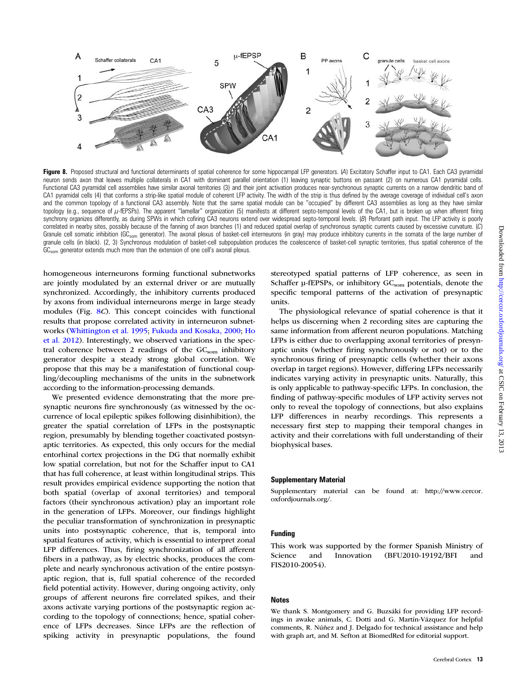<span id="page-12-0"></span>

Figure 8. Proposed structural and functional determinants of spatial coherence for some hippocampal LFP generators. (A) Excitatory Schaffer input to CA1. Each CA3 pyramidal neuron sends axon that leaves multiple collaterals in CA1 with dominant parallel orientation (1) leaving synaptic buttons en passant (2) on numerous CA1 pyramidal cells. Functional CA3 pyramidal cell assemblies have similar axonal territories (3) and their joint activation produces near-synchronous synaptic currents on a narrow dendritic band of CA1 pyramidal cells (4) that conforms a strip-like spatial module of coherent LFP activity. The width of the strip is thus defined by the average coverage of individual cell's axon and the common topology of a functional CA3 assembly. Note that the same spatial module can be "occupied" by different CA3 assemblies as long as they have similar topology (e.g., sequence of µ-fEPSPs). The apparent "lamellar" organization (5) manifests at different septo-temporal levels of the CA1, but is broken up when afferent firing synchrony organizes differently, as during SPWs in which cofiring CA3 neurons extend over widespread septo-temporal levels. (B) Perforant path input. The LFP activity is poorly correlated in nearby sites, possibly because of the fanning of axon branches (1) and reduced spatial overlap of synchronous synaptic currents caused by excessive curvature. (C) Granule cell somatic inhibition (GC<sub>som</sub> generator). The axonal plexus of basket-cell interneurons (in gray) may produce inhibitory currents in the somata of the large number of granule cells (in black). (2, 3) Synchronous modulation of basket-cell subpopulation produces the coalescence of basket-cell synaptic territories, thus spatial coherence of the  $GC<sub>som</sub>$  generator extends much more than the extension of one cell's axonal plexus.

homogeneous interneurons forming functional subnetworks are jointly modulated by an external driver or are mutually synchronized. Accordingly, the inhibitory currents produced by axons from individual interneurons merge in large steady modules (Fig. 8C). This concept coincides with functional results that propose correlated activity in interneuron subnetworks [\(Whittington et al. 1995;](#page-14-0) [Fukuda and Kosaka, 2000](#page-13-0); [Ho](#page-13-0) [et al. 2012](#page-13-0)). Interestingly, we observed variations in the spectral coherence between 2 readings of the  $GC<sub>som</sub>$  inhibitory generator despite a steady strong global correlation. We propose that this may be a manifestation of functional coupling/decoupling mechanisms of the units in the subnetwork according to the information-processing demands.

We presented evidence demonstrating that the more presynaptic neurons fire synchronously (as witnessed by the occurrence of local epileptic spikes following disinhibition), the greater the spatial correlation of LFPs in the postsynaptic region, presumably by blending together coactivated postsynaptic territories. As expected, this only occurs for the medial entorhinal cortex projections in the DG that normally exhibit low spatial correlation, but not for the Schaffer input to CA1 that has full coherence, at least within longitudinal strips. This result provides empirical evidence supporting the notion that both spatial (overlap of axonal territories) and temporal factors (their synchronous activation) play an important role in the generation of LFPs. Moreover, our findings highlight the peculiar transformation of synchronization in presynaptic units into postsynaptic coherence, that is, temporal into spatial features of activity, which is essential to interpret zonal LFP differences. Thus, firing synchronization of all afferent fibers in a pathway, as by electric shocks, produces the complete and nearly synchronous activation of the entire postsynaptic region, that is, full spatial coherence of the recorded field potential activity. However, during ongoing activity, only groups of afferent neurons fire correlated spikes, and their axons activate varying portions of the postsynaptic region according to the topology of connections; hence, spatial coherence of LFPs decreases. Since LFPs are the reflection of spiking activity in presynaptic populations, the found

stereotyped spatial patterns of LFP coherence, as seen in Schaffer µ-fEPSPs, or inhibitory GC<sub>som</sub> potentials, denote the specific temporal patterns of the activation of presynaptic units.

The physiological relevance of spatial coherence is that it helps us discerning when 2 recording sites are capturing the same information from afferent neuron populations. Matching LFPs is either due to overlapping axonal territories of presynaptic units (whether firing synchronously or not) or to the synchronous firing of presynaptic cells (whether their axons overlap in target regions). However, differing LFPs necessarily indicates varying activity in presynaptic units. Naturally, this is only applicable to pathway-specific LFPs. In conclusion, the finding of pathway-specific modules of LFP activity serves not only to reveal the topology of connections, but also explains LFP differences in nearby recordings. This represents a necessary first step to mapping their temporal changes in activity and their correlations with full understanding of their biophysical bases.

#### Supplementary Material

[Supplementary material can be found at: http://www.cercor.](http://cercor.oxfordjournals.org/lookup/suppl/doi:10.1093/cercor/bht022/-/DC1) [oxfordjournals.org/.](http://cercor.oxfordjournals.org/lookup/suppl/doi:10.1093/cercor/bht022/-/DC1)

# Funding

This work was supported by the former Spanish Ministry of Science and Innovation (BFU2010-19192/BFI and FIS2010-20054).

### **Notes**

We thank S. Montgomery and G. Buzsáki for providing LFP recordings in awake animals, C. Dotti and G. Martín-Vázquez for helpful comments, R. Núñez and J. Delgado for technical assistance and help with graph art, and M. Sefton at BiomedRed for editorial support.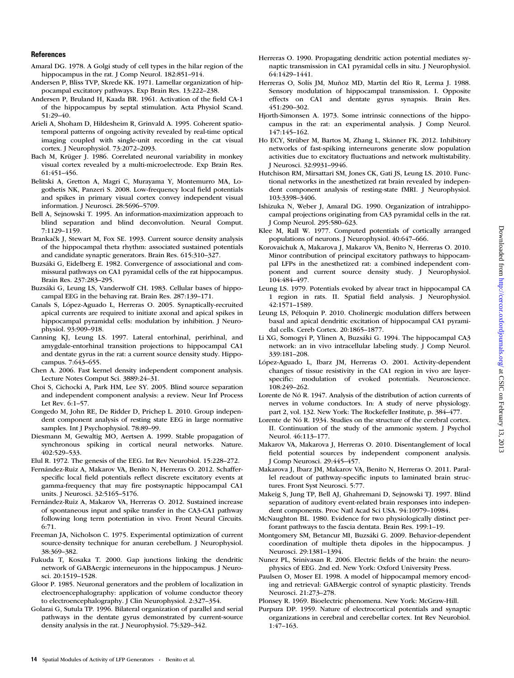#### <span id="page-13-0"></span>**References**

- Amaral DG. 1978. A Golgi study of cell types in the hilar region of the hippocampus in the rat. J Comp Neurol. 182:851–914.
- Andersen P, Bliss TVP, Skrede KK. 1971. Lamellar organization of hippocampal excitatory pathways. Exp Brain Res. 13:222–238.
- Andersen P, Bruland H, Kaada BR. 1961. Activation of the field CA-1 of the hippocampus by septal stimulation. Acta Physiol Scand. 51:29–40.
- Arieli A, Shoham D, Hildesheim R, Grinvald A. 1995. Coherent spatiotemporal patterns of ongoing activity revealed by real-time optical imaging coupled with single-unit recording in the cat visual cortex. J Neurophysiol. 73:2072–2093.
- Bach M, Krüger J. 1986. Correlated neuronal variability in monkey visual cortex revealed by a multi-microelectrode. Exp Brain Res. 61:451–456.
- Belitski A, Gretton A, Magri C, Murayama Y, Montemurro MA, Logothetis NK, Panzeri S. 2008. Low-frequency local field potentials and spikes in primary visual cortex convey independent visual information. J Neurosci. 28:5696–5709.
- Bell A, Sejnowski T. 1995. An information-maximization approach to blind separation and blind deconvolution. Neural Comput. 7:1129–1159.
- Brankačk J, Stewart M, Fox SE. 1993. Current source density analysis of the hippocampal theta rhythm: associated sustained potentials and candidate synaptic generators. Brain Res. 615:310–327.
- Buzsáki G, Eidelberg E. 1982. Convergence of associational and commissural pathways on CA1 pyramidal cells of the rat hippocampus. Brain Res. 237:283–295.
- Buzsáki G, Leung LS, Vanderwolf CH. 1983. Cellular bases of hippocampal EEG in the behaving rat. Brain Res. 287:139–171.
- Canals S, López-Aguado L, Herreras O. 2005. Synaptically-recruited apical currents are required to initiate axonal and apical spikes in hippocampal pyramidal cells: modulation by inhibition. J Neurophysiol. 93:909–918.
- Canning KJ, Leung LS. 1997. Lateral entorhinal, perirhinal, and amygdale-entorhinal transition projections to hippocampal CA1 and dentate gyrus in the rat: a current source density study. Hippocampus. 7:643–655.
- Chen A. 2006. Fast kernel density independent component analysis. Lecture Notes Comput Sci. 3889:24–31.
- Choi S, Cichocki A, Park HM, Lee SY. 2005. Blind source separation and independent component analysis: a review. Neur Inf Process Let Rev. 6:1–57.
- Congedo M, John RE, De Ridder D, Prichep L. 2010. Group independent component analysis of resting state EEG in large normative samples. Int J Psychophysiol. 78:89–99.
- Diesmann M, Gewaltig MO, Aertsen A. 1999. Stable propagation of synchronous spiking in cortical neural networks. Nature. 402:529–533.
- Elul R. 1972. The genesis of the EEG. Int Rev Neurobiol. 15:228–272.
- Fernández-Ruiz A, Makarov VA, Benito N, Herreras O. 2012. Schafferspecific local field potentials reflect discrete excitatory events at gamma-frequency that may fire postsynaptic hippocampal CA1 units. J Neurosci. 32:5165–5176.
- Fernández-Ruiz A, Makarov VA, Herreras O. 2012. Sustained increase of spontaneous input and spike transfer in the CA3-CA1 pathway following long term potentiation in vivo. Front Neural Circuits. 6:71.
- Freeman JA, Nicholson C. 1975. Experimental optimization of current source-density technique for anuran cerebellum. J Neurophysiol. 38:369–382.
- Fukuda T, Kosaka T. 2000. Gap junctions linking the dendritic network of GABAergic interneurons in the hippocampus. J Neurosci. 20:1519–1528.
- Gloor P. 1985. Neuronal generators and the problem of localization in electroencephalography: application of volume conductor theory to electroencephalography. J Clin Neurophysiol. 2:327–354.
- Golarai G, Sutula TP. 1996. Bilateral organization of parallel and serial pathways in the dentate gyrus demonstrated by current-source density analysis in the rat. J Neurophysiol. 75:329–342.
- Herreras O. 1990. Propagating dendritic action potential mediates synaptic transmission in CA1 pyramidal cells in situ. J Neurophysiol. 64:1429–1441.
- Herreras O, Solís JM, Muñoz MD, Martín del Río R, Lerma J. 1988. Sensory modulation of hippocampal transmission. I. Opposite effects on CA1 and dentate gyrus synapsis. Brain Res. 451:290–302.
- Hjorth-Simonsen A. 1973. Some intrinsic connections of the hippocampus in the rat: an experimental analysis. J Comp Neurol. 147:145–162.
- Ho ECY, Strüber M, Bartos M, Zhang L, Skinner FK. 2012. Inhibitory networks of fast-spiking interneurons generate slow population activities due to excitatory fluctuations and network multistability. J Neurosci. 32:9931–9946.
- Hutchison RM, Mirsattari SM, Jones CK, Gati JS, Leung LS. 2010. Functional networks in the anesthetized rat brain revealed by independent component analysis of resting-state fMRI. J Neurophysiol. 103:3398–3406.
- Ishizuka N, Weber J, Amaral DG. 1990. Organization of intrahippocampal projections originating from CA3 pyramidal cells in the rat. J Comp Neurol. 295:580–623.
- Klee M, Rall W. 1977. Computed potentials of cortically arranged populations of neurons. J Neurophysiol. 40:647–666.
- Korovaichuk A, Makarova J, Makarov VA, Benito N, Herreras O. 2010. Minor contribution of principal excitatory pathways to hippocampal LFPs in the anesthetized rat: a combined independent component and current source density study. J Neurophysiol. 104:484–497.
- Leung LS. 1979. Potentials evoked by alvear tract in hippocampal CA 1 region in rats. II. Spatial field analysis. J Neurophysiol. 42:1571–1589.
- Leung LS, Péloquin P. 2010. Cholinergic modulation differs between basal and apical dendritic excitation of hippocampal CA1 pyramidal cells. Cereb Cortex. 20:1865–1877.
- Li XG, Somogyi P, Ylinen A, Buzsáki G. 1994. The hippocampal CA3 network: an in vivo intracellular labeling study. J Comp Neurol. 339:181–208.
- López-Aguado L, Ibarz JM, Herreras O. 2001. Activity-dependent changes of tissue resistivity in the CA1 region in vivo are layerspecific: modulation of evoked potentials. Neuroscience. 108:249–262.
- Lorente de Nó R. 1947. Analysis of the distribution of action currents of nerves in volume conductors. In: A study of nerve physiology. part 2, vol. 132. New York: The Rockefeller Institute, p. 384–477.
- Lorente de Nó R. 1934. Studies on the structure of the cerebral cortex. II. Continuation of the study of the ammonic system. J Psychol Neurol. 46:113–177.
- Makarov VA, Makarova J, Herreras O. 2010. Disentanglement of local field potential sources by independent component analysis. J Comp Neurosci. 29:445–457.
- Makarova J, Ibarz JM, Makarov VA, Benito N, Herreras O. 2011. Parallel readout of pathway-specific inputs to laminated brain structures. Front Syst Neurosci. 5:77.
- Makeig S, Jung TP, Bell AJ, Ghahremani D, Sejnowski TJ. 1997. Blind separation of auditory event-related brain responses into independent components. Proc Natl Acad Sci USA. 94:10979–10984.
- McNaughton BL. 1980. Evidence for two physiologically distinct perforant pathways to the fascia dentata. Brain Res. 199:1–19.
- Montgomery SM, Betancur MI, Buzsáki G. 2009. Behavior-dependent coordination of multiple theta dipoles in the hippocampus. J Neurosci. 29:1381–1394.
- Nunez PL, Srinivasan R. 2006. Electric fields of the brain: the neurophysics of EEG. 2nd ed. New York: Oxford University Press.
- Paulsen O, Moser EI. 1998. A model of hippocampal memory encoding and retrieval: GABAergic control of synaptic plasticity. Trends Neurosci. 21:273–278.
- Plonsey R. 1969. Bioelectric phenomena. New York: McGraw-Hill.
- Purpura DP. 1959. Nature of electrocortical potentials and synaptic organizations in cerebral and cerebellar cortex. Int Rev Neurobiol. 1:47–163.